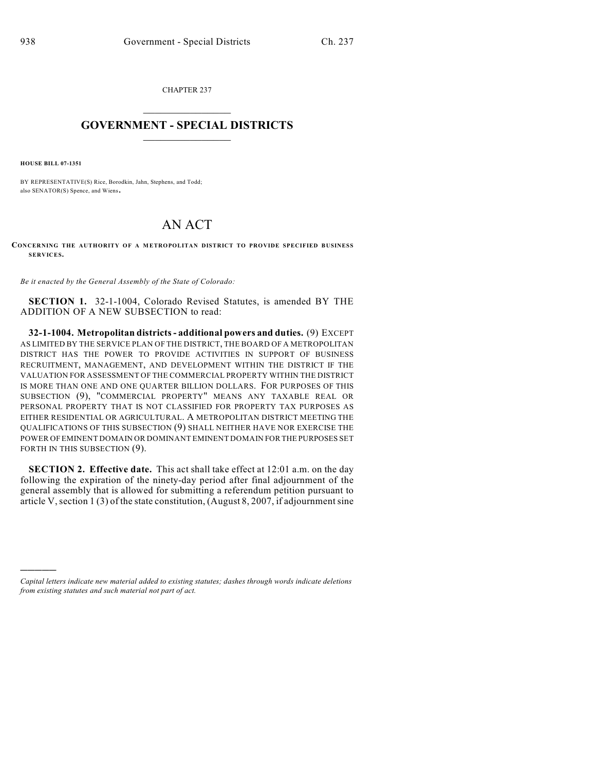CHAPTER 237  $\mathcal{L}_\text{max}$  . The set of the set of the set of the set of the set of the set of the set of the set of the set of the set of the set of the set of the set of the set of the set of the set of the set of the set of the set

## **GOVERNMENT - SPECIAL DISTRICTS**  $\_$

**HOUSE BILL 07-1351**

)))))

BY REPRESENTATIVE(S) Rice, Borodkin, Jahn, Stephens, and Todd; also SENATOR(S) Spence, and Wiens.

## AN ACT

**CONCERNING THE AUTHORITY OF A METROPOLITAN DISTRICT TO PROVIDE SPECIFIED BUSINESS SERVICES.**

*Be it enacted by the General Assembly of the State of Colorado:*

**SECTION 1.** 32-1-1004, Colorado Revised Statutes, is amended BY THE ADDITION OF A NEW SUBSECTION to read:

**32-1-1004. Metropolitan districts - additional powers and duties.** (9) EXCEPT AS LIMITED BY THE SERVICE PLAN OF THE DISTRICT, THE BOARD OF A METROPOLITAN DISTRICT HAS THE POWER TO PROVIDE ACTIVITIES IN SUPPORT OF BUSINESS RECRUITMENT, MANAGEMENT, AND DEVELOPMENT WITHIN THE DISTRICT IF THE VALUATION FOR ASSESSMENT OF THE COMMERCIAL PROPERTY WITHIN THE DISTRICT IS MORE THAN ONE AND ONE QUARTER BILLION DOLLARS. FOR PURPOSES OF THIS SUBSECTION (9), "COMMERCIAL PROPERTY" MEANS ANY TAXABLE REAL OR PERSONAL PROPERTY THAT IS NOT CLASSIFIED FOR PROPERTY TAX PURPOSES AS EITHER RESIDENTIAL OR AGRICULTURAL. A METROPOLITAN DISTRICT MEETING THE QUALIFICATIONS OF THIS SUBSECTION (9) SHALL NEITHER HAVE NOR EXERCISE THE POWER OF EMINENT DOMAIN OR DOMINANT EMINENT DOMAIN FOR THE PURPOSES SET FORTH IN THIS SUBSECTION (9).

**SECTION 2. Effective date.** This act shall take effect at 12:01 a.m. on the day following the expiration of the ninety-day period after final adjournment of the general assembly that is allowed for submitting a referendum petition pursuant to article V,section 1 (3) of the state constitution, (August 8, 2007, if adjournment sine

*Capital letters indicate new material added to existing statutes; dashes through words indicate deletions from existing statutes and such material not part of act.*